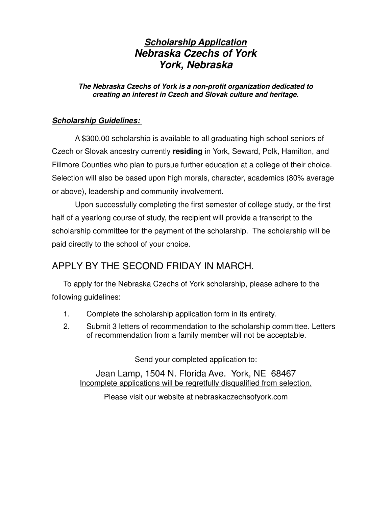# *Scholarship Application Nebraska Czechs of York York, Nebraska*

#### *The Nebraska Czechs of York is a non-profit organization dedicated to creating an interest in Czech and Slovak culture and heritage.*

#### *Scholarship Guidelines:*

A \$300.00 scholarship is available to all graduating high school seniors of Czech or Slovak ancestry currently **residing** in York, Seward, Polk, Hamilton, and Fillmore Counties who plan to pursue further education at a college of their choice. Selection will also be based upon high morals, character, academics (80% average or above), leadership and community involvement.

Upon successfully completing the first semester of college study, or the first half of a yearlong course of study, the recipient will provide a transcript to the scholarship committee for the payment of the scholarship. The scholarship will be paid directly to the school of your choice.

# APPLY BY THE SECOND FRIDAY IN MARCH.

To apply for the Nebraska Czechs of York scholarship, please adhere to the following guidelines:

- 1. Complete the scholarship application form in its entirety.
- 2. Submit 3 letters of recommendation to the scholarship committee. Letters of recommendation from a family member will not be acceptable.

Send your completed application to:

Jean Lamp, 1504 N. Florida Ave. York, NE 68467 Incomplete applications will be regretfully disqualified from selection.

Please visit our website at nebraskaczechsofyork.com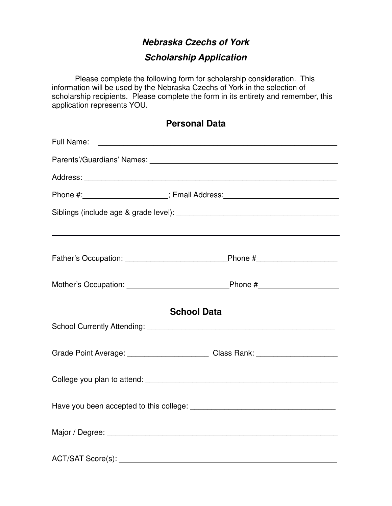### *Nebraska Czechs of York*

# *Scholarship Application*

Please complete the following form for scholarship consideration. This information will be used by the Nebraska Czechs of York in the selection of scholarship recipients. Please complete the form in its entirety and remember, this application represents YOU.

| <b>Personal Data</b> |  |
|----------------------|--|
|----------------------|--|

| Full Name:<br><u> 1989 - Johann Stoff, deutscher Stoffen und der Stoffen und der Stoffen und der Stoffen und der Stoffen und der </u> |  |  |
|---------------------------------------------------------------------------------------------------------------------------------------|--|--|
|                                                                                                                                       |  |  |
|                                                                                                                                       |  |  |
| Phone #: _____________________; Email Address: _________________________________                                                      |  |  |
|                                                                                                                                       |  |  |
|                                                                                                                                       |  |  |
|                                                                                                                                       |  |  |
|                                                                                                                                       |  |  |
| <b>School Data</b>                                                                                                                    |  |  |
|                                                                                                                                       |  |  |
| Grade Point Average: ______________________________Class Rank: _________________                                                      |  |  |
|                                                                                                                                       |  |  |
|                                                                                                                                       |  |  |
|                                                                                                                                       |  |  |
| ACT/SAT Score(s): ____________                                                                                                        |  |  |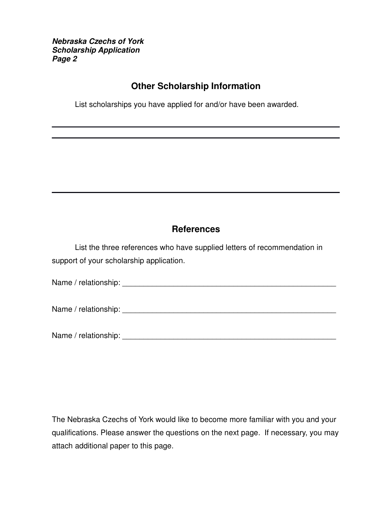*Nebraska Czechs of York Scholarship Application Page 2*

#### **Other Scholarship Information**

List scholarships you have applied for and/or have been awarded.

### **References**

List the three references who have supplied letters of recommendation in support of your scholarship application.

Name / relationship: \_\_\_\_\_\_\_\_\_\_\_\_\_\_\_\_\_\_\_\_\_\_\_\_\_\_\_\_\_\_\_\_\_\_\_\_\_\_\_\_\_\_\_\_\_\_\_\_\_\_

Name / relationship: \_\_\_\_\_\_\_\_\_\_\_\_\_\_\_\_\_\_\_\_\_\_\_\_\_\_\_\_\_\_\_\_\_\_\_\_\_\_\_\_\_\_\_\_\_\_\_\_\_\_

Name / relationship: \_\_\_\_\_\_\_\_\_\_\_\_\_\_\_\_\_\_\_\_\_\_\_\_\_\_\_\_\_\_\_\_\_\_\_\_\_\_\_\_\_\_\_\_\_\_\_\_\_\_

The Nebraska Czechs of York would like to become more familiar with you and your qualifications. Please answer the questions on the next page. If necessary, you may attach additional paper to this page.